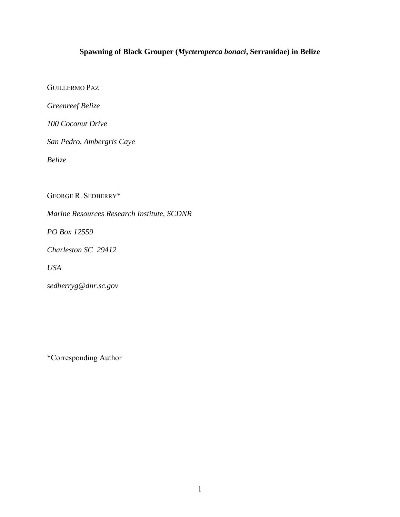# **Spawning of Black Grouper (***Mycteroperca bonaci***, Serranidae) in Belize**

GUILLERMO PAZ

*Greenreef Belize* 

*100 Coconut Drive* 

*San Pedro, Ambergris Caye* 

*Belize* 

GEORGE R. SEDBERRY\*

*Marine Resources Research Institute, SCDNR* 

*PO Box 12559* 

*Charleston SC 29412* 

*USA* 

*sedberryg@dnr.sc.gov* 

\*Corresponding Author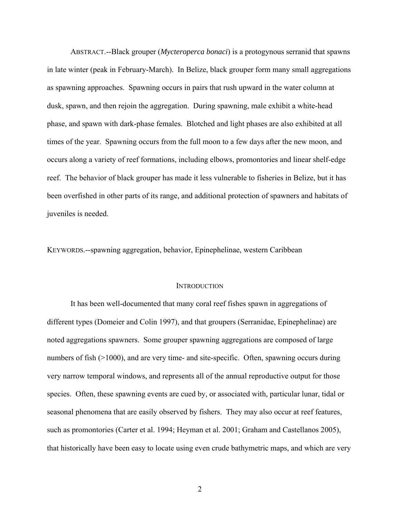ABSTRACT.--Black grouper (*Mycteroperca bonaci*) is a protogynous serranid that spawns in late winter (peak in February-March). In Belize, black grouper form many small aggregations as spawning approaches. Spawning occurs in pairs that rush upward in the water column at dusk, spawn, and then rejoin the aggregation. During spawning, male exhibit a white-head phase, and spawn with dark-phase females. Blotched and light phases are also exhibited at all times of the year. Spawning occurs from the full moon to a few days after the new moon, and occurs along a variety of reef formations, including elbows, promontories and linear shelf-edge reef. The behavior of black grouper has made it less vulnerable to fisheries in Belize, but it has been overfished in other parts of its range, and additional protection of spawners and habitats of juveniles is needed.

KEYWORDS.--spawning aggregation, behavior, Epinephelinae, western Caribbean

#### **INTRODUCTION**

 It has been well-documented that many coral reef fishes spawn in aggregations of different types (Domeier and Colin 1997), and that groupers (Serranidae, Epinephelinae) are noted aggregations spawners. Some grouper spawning aggregations are composed of large numbers of fish (>1000), and are very time- and site-specific. Often, spawning occurs during very narrow temporal windows, and represents all of the annual reproductive output for those species. Often, these spawning events are cued by, or associated with, particular lunar, tidal or seasonal phenomena that are easily observed by fishers. They may also occur at reef features, such as promontories (Carter et al. 1994; Heyman et al. 2001; Graham and Castellanos 2005), that historically have been easy to locate using even crude bathymetric maps, and which are very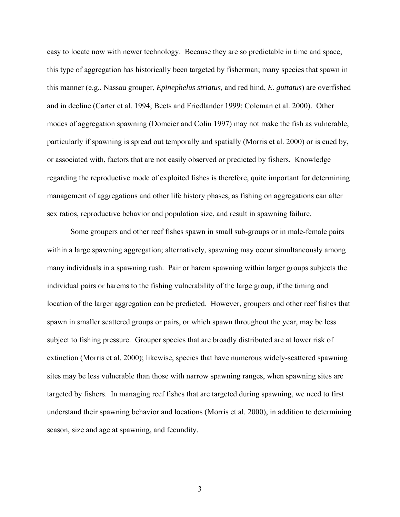easy to locate now with newer technology. Because they are so predictable in time and space, this type of aggregation has historically been targeted by fisherman; many species that spawn in this manner (e.g., Nassau grouper, *Epinephelus striatus,* and red hind, *E. guttatus*) are overfished and in decline (Carter et al. 1994; Beets and Friedlander 1999; Coleman et al. 2000). Other modes of aggregation spawning (Domeier and Colin 1997) may not make the fish as vulnerable, particularly if spawning is spread out temporally and spatially (Morris et al. 2000) or is cued by, or associated with, factors that are not easily observed or predicted by fishers. Knowledge regarding the reproductive mode of exploited fishes is therefore, quite important for determining management of aggregations and other life history phases, as fishing on aggregations can alter sex ratios, reproductive behavior and population size, and result in spawning failure.

Some groupers and other reef fishes spawn in small sub-groups or in male-female pairs within a large spawning aggregation; alternatively, spawning may occur simultaneously among many individuals in a spawning rush. Pair or harem spawning within larger groups subjects the individual pairs or harems to the fishing vulnerability of the large group, if the timing and location of the larger aggregation can be predicted. However, groupers and other reef fishes that spawn in smaller scattered groups or pairs, or which spawn throughout the year, may be less subject to fishing pressure. Grouper species that are broadly distributed are at lower risk of extinction (Morris et al. 2000); likewise, species that have numerous widely-scattered spawning sites may be less vulnerable than those with narrow spawning ranges, when spawning sites are targeted by fishers. In managing reef fishes that are targeted during spawning, we need to first understand their spawning behavior and locations (Morris et al. 2000), in addition to determining season, size and age at spawning, and fecundity.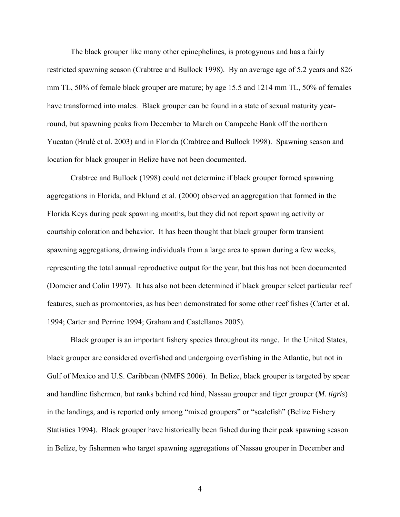The black grouper like many other epinephelines, is protogynous and has a fairly restricted spawning season (Crabtree and Bullock 1998). By an average age of 5.2 years and 826 mm TL, 50% of female black grouper are mature; by age 15.5 and 1214 mm TL, 50% of females have transformed into males. Black grouper can be found in a state of sexual maturity yearround, but spawning peaks from December to March on Campeche Bank off the northern Yucatan (Brulé et al. 2003) and in Florida (Crabtree and Bullock 1998). Spawning season and location for black grouper in Belize have not been documented.

Crabtree and Bullock (1998) could not determine if black grouper formed spawning aggregations in Florida, and Eklund et al. (2000) observed an aggregation that formed in the Florida Keys during peak spawning months, but they did not report spawning activity or courtship coloration and behavior. It has been thought that black grouper form transient spawning aggregations, drawing individuals from a large area to spawn during a few weeks, representing the total annual reproductive output for the year, but this has not been documented (Domeier and Colin 1997). It has also not been determined if black grouper select particular reef features, such as promontories, as has been demonstrated for some other reef fishes (Carter et al. 1994; Carter and Perrine 1994; Graham and Castellanos 2005).

 Black grouper is an important fishery species throughout its range. In the United States, black grouper are considered overfished and undergoing overfishing in the Atlantic, but not in Gulf of Mexico and U.S. Caribbean (NMFS 2006). In Belize, black grouper is targeted by spear and handline fishermen, but ranks behind red hind, Nassau grouper and tiger grouper (*M. tigris*) in the landings, and is reported only among "mixed groupers" or "scalefish" (Belize Fishery Statistics 1994). Black grouper have historically been fished during their peak spawning season in Belize, by fishermen who target spawning aggregations of Nassau grouper in December and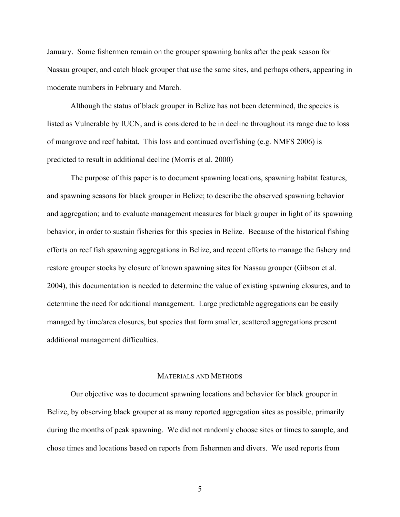January. Some fishermen remain on the grouper spawning banks after the peak season for Nassau grouper, and catch black grouper that use the same sites, and perhaps others, appearing in moderate numbers in February and March.

Although the status of black grouper in Belize has not been determined, the species is listed as Vulnerable by IUCN, and is considered to be in decline throughout its range due to loss of mangrove and reef habitat. This loss and continued overfishing (e.g. NMFS 2006) is predicted to result in additional decline (Morris et al. 2000)

 The purpose of this paper is to document spawning locations, spawning habitat features, and spawning seasons for black grouper in Belize; to describe the observed spawning behavior and aggregation; and to evaluate management measures for black grouper in light of its spawning behavior, in order to sustain fisheries for this species in Belize. Because of the historical fishing efforts on reef fish spawning aggregations in Belize, and recent efforts to manage the fishery and restore grouper stocks by closure of known spawning sites for Nassau grouper (Gibson et al. 2004), this documentation is needed to determine the value of existing spawning closures, and to determine the need for additional management. Large predictable aggregations can be easily managed by time/area closures, but species that form smaller, scattered aggregations present additional management difficulties.

## MATERIALS AND METHODS

Our objective was to document spawning locations and behavior for black grouper in Belize, by observing black grouper at as many reported aggregation sites as possible, primarily during the months of peak spawning. We did not randomly choose sites or times to sample, and chose times and locations based on reports from fishermen and divers. We used reports from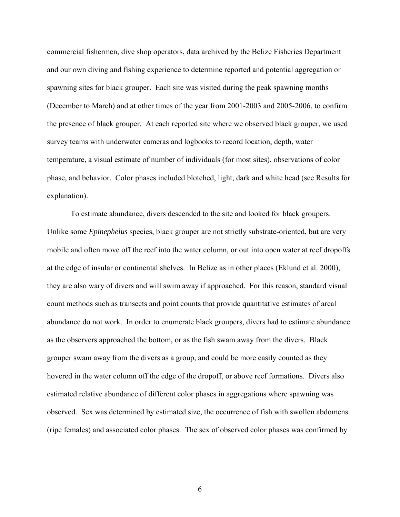commercial fishermen, dive shop operators, data archived by the Belize Fisheries Department and our own diving and fishing experience to determine reported and potential aggregation or spawning sites for black grouper. Each site was visited during the peak spawning months (December to March) and at other times of the year from 2001-2003 and 2005-2006, to confirm the presence of black grouper. At each reported site where we observed black grouper, we used survey teams with underwater cameras and logbooks to record location, depth, water temperature, a visual estimate of number of individuals (for most sites), observations of color phase, and behavior. Color phases included blotched, light, dark and white head (see Results for explanation).

To estimate abundance, divers descended to the site and looked for black groupers. Unlike some *Epinephelus* species, black grouper are not strictly substrate-oriented, but are very mobile and often move off the reef into the water column, or out into open water at reef dropoffs at the edge of insular or continental shelves. In Belize as in other places (Eklund et al. 2000), they are also wary of divers and will swim away if approached. For this reason, standard visual count methods such as transects and point counts that provide quantitative estimates of areal abundance do not work. In order to enumerate black groupers, divers had to estimate abundance as the observers approached the bottom, or as the fish swam away from the divers. Black grouper swam away from the divers as a group, and could be more easily counted as they hovered in the water column off the edge of the dropoff, or above reef formations. Divers also estimated relative abundance of different color phases in aggregations where spawning was observed. Sex was determined by estimated size, the occurrence of fish with swollen abdomens (ripe females) and associated color phases. The sex of observed color phases was confirmed by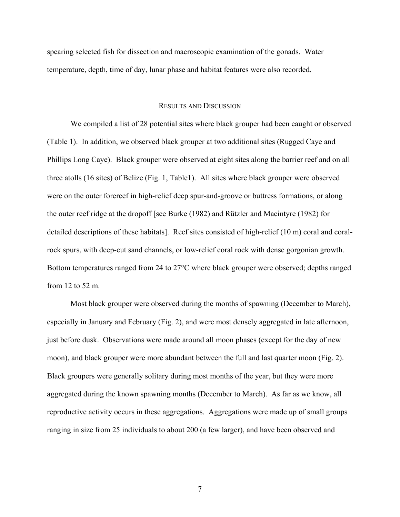spearing selected fish for dissection and macroscopic examination of the gonads. Water temperature, depth, time of day, lunar phase and habitat features were also recorded.

## RESULTS AND DISCUSSION

We compiled a list of 28 potential sites where black grouper had been caught or observed (Table 1). In addition, we observed black grouper at two additional sites (Rugged Caye and Phillips Long Caye). Black grouper were observed at eight sites along the barrier reef and on all three atolls (16 sites) of Belize (Fig. 1, Table1). All sites where black grouper were observed were on the outer forereef in high-relief deep spur-and-groove or buttress formations, or along the outer reef ridge at the dropoff [see Burke (1982) and Rützler and Macintyre (1982) for detailed descriptions of these habitats]. Reef sites consisted of high-relief (10 m) coral and coralrock spurs, with deep-cut sand channels, or low-relief coral rock with dense gorgonian growth. Bottom temperatures ranged from 24 to 27°C where black grouper were observed; depths ranged from 12 to 52 m.

Most black grouper were observed during the months of spawning (December to March), especially in January and February (Fig. 2), and were most densely aggregated in late afternoon, just before dusk. Observations were made around all moon phases (except for the day of new moon), and black grouper were more abundant between the full and last quarter moon (Fig. 2). Black groupers were generally solitary during most months of the year, but they were more aggregated during the known spawning months (December to March). As far as we know, all reproductive activity occurs in these aggregations. Aggregations were made up of small groups ranging in size from 25 individuals to about 200 (a few larger), and have been observed and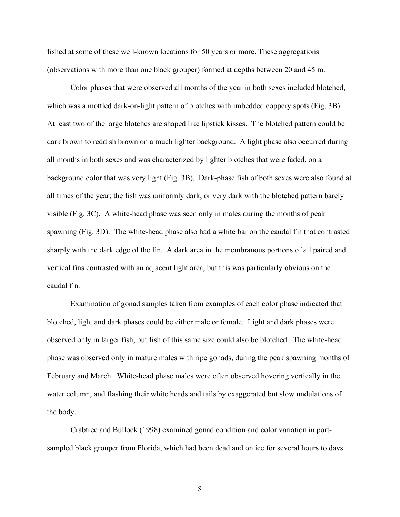fished at some of these well-known locations for 50 years or more. These aggregations (observations with more than one black grouper) formed at depths between 20 and 45 m.

Color phases that were observed all months of the year in both sexes included blotched, which was a mottled dark-on-light pattern of blotches with imbedded coppery spots (Fig. 3B). At least two of the large blotches are shaped like lipstick kisses. The blotched pattern could be dark brown to reddish brown on a much lighter background. A light phase also occurred during all months in both sexes and was characterized by lighter blotches that were faded, on a background color that was very light (Fig. 3B). Dark-phase fish of both sexes were also found at all times of the year; the fish was uniformly dark, or very dark with the blotched pattern barely visible (Fig. 3C). A white-head phase was seen only in males during the months of peak spawning (Fig. 3D). The white-head phase also had a white bar on the caudal fin that contrasted sharply with the dark edge of the fin. A dark area in the membranous portions of all paired and vertical fins contrasted with an adjacent light area, but this was particularly obvious on the caudal fin.

Examination of gonad samples taken from examples of each color phase indicated that blotched, light and dark phases could be either male or female. Light and dark phases were observed only in larger fish, but fish of this same size could also be blotched. The white-head phase was observed only in mature males with ripe gonads, during the peak spawning months of February and March. White-head phase males were often observed hovering vertically in the water column, and flashing their white heads and tails by exaggerated but slow undulations of the body.

Crabtree and Bullock (1998) examined gonad condition and color variation in portsampled black grouper from Florida, which had been dead and on ice for several hours to days.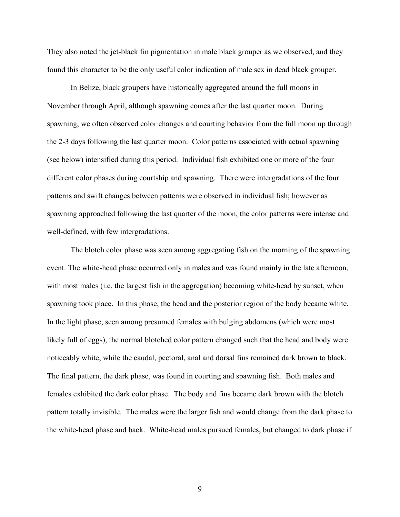They also noted the jet-black fin pigmentation in male black grouper as we observed, and they found this character to be the only useful color indication of male sex in dead black grouper.

In Belize, black groupers have historically aggregated around the full moons in November through April, although spawning comes after the last quarter moon. During spawning, we often observed color changes and courting behavior from the full moon up through the 2-3 days following the last quarter moon. Color patterns associated with actual spawning (see below) intensified during this period. Individual fish exhibited one or more of the four different color phases during courtship and spawning. There were intergradations of the four patterns and swift changes between patterns were observed in individual fish; however as spawning approached following the last quarter of the moon, the color patterns were intense and well-defined, with few intergradations.

The blotch color phase was seen among aggregating fish on the morning of the spawning event. The white-head phase occurred only in males and was found mainly in the late afternoon, with most males (i.e. the largest fish in the aggregation) becoming white-head by sunset, when spawning took place. In this phase, the head and the posterior region of the body became white. In the light phase, seen among presumed females with bulging abdomens (which were most likely full of eggs), the normal blotched color pattern changed such that the head and body were noticeably white, while the caudal, pectoral, anal and dorsal fins remained dark brown to black. The final pattern, the dark phase, was found in courting and spawning fish. Both males and females exhibited the dark color phase. The body and fins became dark brown with the blotch pattern totally invisible. The males were the larger fish and would change from the dark phase to the white-head phase and back. White-head males pursued females, but changed to dark phase if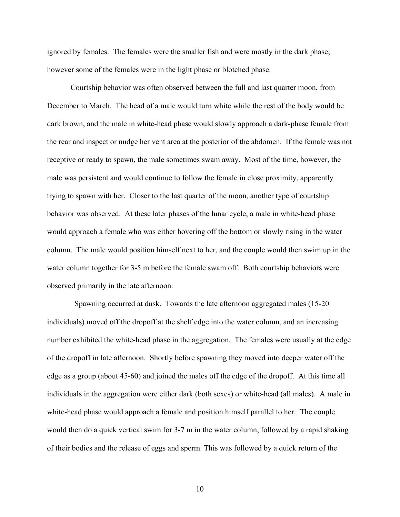ignored by females. The females were the smaller fish and were mostly in the dark phase; however some of the females were in the light phase or blotched phase.

Courtship behavior was often observed between the full and last quarter moon, from December to March. The head of a male would turn white while the rest of the body would be dark brown, and the male in white-head phase would slowly approach a dark-phase female from the rear and inspect or nudge her vent area at the posterior of the abdomen. If the female was not receptive or ready to spawn, the male sometimes swam away. Most of the time, however, the male was persistent and would continue to follow the female in close proximity, apparently trying to spawn with her. Closer to the last quarter of the moon, another type of courtship behavior was observed. At these later phases of the lunar cycle, a male in white-head phase would approach a female who was either hovering off the bottom or slowly rising in the water column. The male would position himself next to her, and the couple would then swim up in the water column together for 3-5 m before the female swam off. Both courtship behaviors were observed primarily in the late afternoon.

 Spawning occurred at dusk. Towards the late afternoon aggregated males (15-20 individuals) moved off the dropoff at the shelf edge into the water column, and an increasing number exhibited the white-head phase in the aggregation. The females were usually at the edge of the dropoff in late afternoon. Shortly before spawning they moved into deeper water off the edge as a group (about 45-60) and joined the males off the edge of the dropoff. At this time all individuals in the aggregation were either dark (both sexes) or white-head (all males). A male in white-head phase would approach a female and position himself parallel to her. The couple would then do a quick vertical swim for 3-7 m in the water column, followed by a rapid shaking of their bodies and the release of eggs and sperm. This was followed by a quick return of the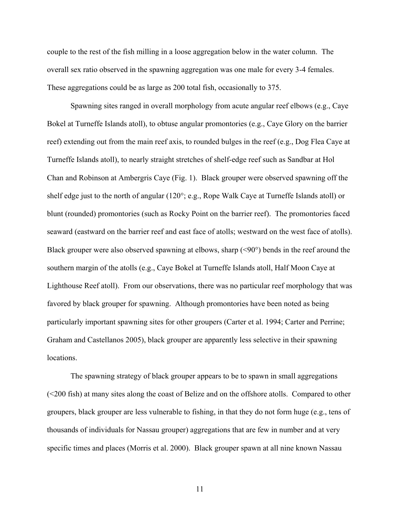couple to the rest of the fish milling in a loose aggregation below in the water column. The overall sex ratio observed in the spawning aggregation was one male for every 3-4 females. These aggregations could be as large as 200 total fish, occasionally to 375.

Spawning sites ranged in overall morphology from acute angular reef elbows (e.g., Caye Bokel at Turneffe Islands atoll), to obtuse angular promontories (e.g., Caye Glory on the barrier reef) extending out from the main reef axis, to rounded bulges in the reef (e.g., Dog Flea Caye at Turneffe Islands atoll), to nearly straight stretches of shelf-edge reef such as Sandbar at Hol Chan and Robinson at Ambergris Caye (Fig. 1). Black grouper were observed spawning off the shelf edge just to the north of angular (120°; e.g., Rope Walk Caye at Turneffe Islands atoll) or blunt (rounded) promontories (such as Rocky Point on the barrier reef). The promontories faced seaward (eastward on the barrier reef and east face of atolls; westward on the west face of atolls). Black grouper were also observed spawning at elbows, sharp (<90°) bends in the reef around the southern margin of the atolls (e.g., Caye Bokel at Turneffe Islands atoll, Half Moon Caye at Lighthouse Reef atoll). From our observations, there was no particular reef morphology that was favored by black grouper for spawning. Although promontories have been noted as being particularly important spawning sites for other groupers (Carter et al. 1994; Carter and Perrine; Graham and Castellanos 2005), black grouper are apparently less selective in their spawning locations.

 The spawning strategy of black grouper appears to be to spawn in small aggregations (<200 fish) at many sites along the coast of Belize and on the offshore atolls. Compared to other groupers, black grouper are less vulnerable to fishing, in that they do not form huge (e.g., tens of thousands of individuals for Nassau grouper) aggregations that are few in number and at very specific times and places (Morris et al. 2000). Black grouper spawn at all nine known Nassau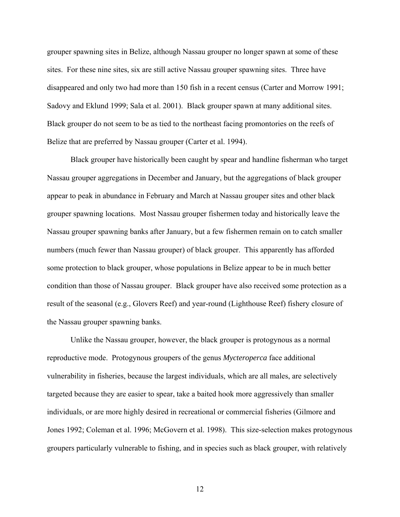grouper spawning sites in Belize, although Nassau grouper no longer spawn at some of these sites. For these nine sites, six are still active Nassau grouper spawning sites. Three have disappeared and only two had more than 150 fish in a recent census (Carter and Morrow 1991; Sadovy and Eklund 1999; Sala et al. 2001). Black grouper spawn at many additional sites. Black grouper do not seem to be as tied to the northeast facing promontories on the reefs of Belize that are preferred by Nassau grouper (Carter et al. 1994).

 Black grouper have historically been caught by spear and handline fisherman who target Nassau grouper aggregations in December and January, but the aggregations of black grouper appear to peak in abundance in February and March at Nassau grouper sites and other black grouper spawning locations. Most Nassau grouper fishermen today and historically leave the Nassau grouper spawning banks after January, but a few fishermen remain on to catch smaller numbers (much fewer than Nassau grouper) of black grouper. This apparently has afforded some protection to black grouper, whose populations in Belize appear to be in much better condition than those of Nassau grouper. Black grouper have also received some protection as a result of the seasonal (e.g., Glovers Reef) and year-round (Lighthouse Reef) fishery closure of the Nassau grouper spawning banks.

Unlike the Nassau grouper, however, the black grouper is protogynous as a normal reproductive mode. Protogynous groupers of the genus *Mycteroperca* face additional vulnerability in fisheries, because the largest individuals, which are all males, are selectively targeted because they are easier to spear, take a baited hook more aggressively than smaller individuals, or are more highly desired in recreational or commercial fisheries (Gilmore and Jones 1992; Coleman et al. 1996; McGovern et al. 1998). This size-selection makes protogynous groupers particularly vulnerable to fishing, and in species such as black grouper, with relatively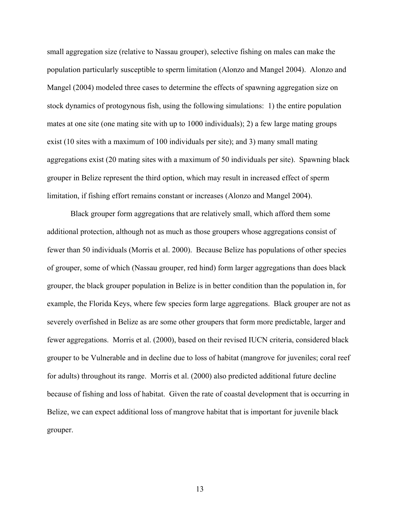small aggregation size (relative to Nassau grouper), selective fishing on males can make the population particularly susceptible to sperm limitation (Alonzo and Mangel 2004). Alonzo and Mangel (2004) modeled three cases to determine the effects of spawning aggregation size on stock dynamics of protogynous fish, using the following simulations: 1) the entire population mates at one site (one mating site with up to 1000 individuals); 2) a few large mating groups exist (10 sites with a maximum of 100 individuals per site); and 3) many small mating aggregations exist (20 mating sites with a maximum of 50 individuals per site). Spawning black grouper in Belize represent the third option, which may result in increased effect of sperm limitation, if fishing effort remains constant or increases (Alonzo and Mangel 2004).

Black grouper form aggregations that are relatively small, which afford them some additional protection, although not as much as those groupers whose aggregations consist of fewer than 50 individuals (Morris et al. 2000). Because Belize has populations of other species of grouper, some of which (Nassau grouper, red hind) form larger aggregations than does black grouper, the black grouper population in Belize is in better condition than the population in, for example, the Florida Keys, where few species form large aggregations. Black grouper are not as severely overfished in Belize as are some other groupers that form more predictable, larger and fewer aggregations. Morris et al. (2000), based on their revised IUCN criteria, considered black grouper to be Vulnerable and in decline due to loss of habitat (mangrove for juveniles; coral reef for adults) throughout its range. Morris et al. (2000) also predicted additional future decline because of fishing and loss of habitat. Given the rate of coastal development that is occurring in Belize, we can expect additional loss of mangrove habitat that is important for juvenile black grouper.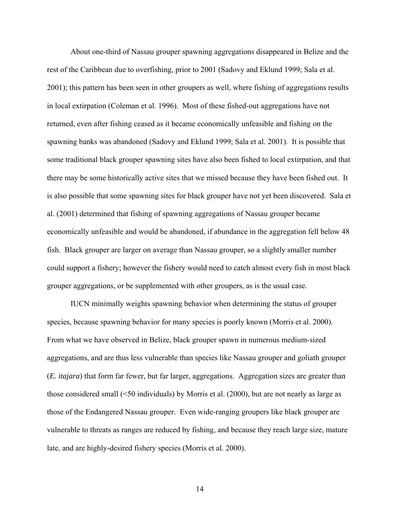About one-third of Nassau grouper spawning aggregations disappeared in Belize and the rest of the Caribbean due to overfishing, prior to 2001 (Sadovy and Eklund 1999; Sala et al. 2001); this pattern has been seen in other groupers as well, where fishing of aggregations results in local extirpation (Coleman et al. 1996). Most of these fished-out aggregations have not returned, even after fishing ceased as it became economically unfeasible and fishing on the spawning banks was abandoned (Sadovy and Eklund 1999; Sala et al. 2001). It is possible that some traditional black grouper spawning sites have also been fished to local extirpation, and that there may be some historically active sites that we missed because they have been fished out. It is also possible that some spawning sites for black grouper have not yet been discovered. Sala et al. (2001) determined that fishing of spawning aggregations of Nassau grouper became economically unfeasible and would be abandoned, if abundance in the aggregation fell below 48 fish. Black grouper are larger on average than Nassau grouper, so a slightly smaller number could support a fishery; however the fishery would need to catch almost every fish in most black grouper aggregations, or be supplemented with other groupers, as is the usual case.

 IUCN minimally weights spawning behavior when determining the status of grouper species, because spawning behavior for many species is poorly known (Morris et al. 2000). From what we have observed in Belize, black grouper spawn in numerous medium-sized aggregations, and are thus less vulnerable than species like Nassau grouper and goliath grouper (*E. itajara*) that form far fewer, but far larger, aggregations. Aggregation sizes are greater than those considered small (<50 individuals) by Morris et al. (2000), but are not nearly as large as those of the Endangered Nassau grouper. Even wide-ranging groupers like black grouper are vulnerable to threats as ranges are reduced by fishing, and because they reach large size, mature late, and are highly-desired fishery species (Morris et al. 2000).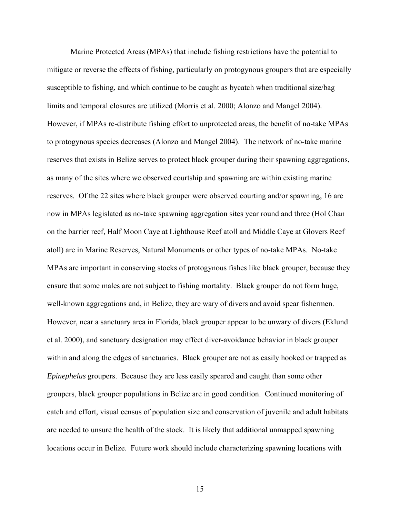Marine Protected Areas (MPAs) that include fishing restrictions have the potential to mitigate or reverse the effects of fishing, particularly on protogynous groupers that are especially susceptible to fishing, and which continue to be caught as bycatch when traditional size/bag limits and temporal closures are utilized (Morris et al. 2000; Alonzo and Mangel 2004). However, if MPAs re-distribute fishing effort to unprotected areas, the benefit of no-take MPAs to protogynous species decreases (Alonzo and Mangel 2004). The network of no-take marine reserves that exists in Belize serves to protect black grouper during their spawning aggregations, as many of the sites where we observed courtship and spawning are within existing marine reserves. Of the 22 sites where black grouper were observed courting and/or spawning, 16 are now in MPAs legislated as no-take spawning aggregation sites year round and three (Hol Chan on the barrier reef, Half Moon Caye at Lighthouse Reef atoll and Middle Caye at Glovers Reef atoll) are in Marine Reserves, Natural Monuments or other types of no-take MPAs. No-take MPAs are important in conserving stocks of protogynous fishes like black grouper, because they ensure that some males are not subject to fishing mortality. Black grouper do not form huge, well-known aggregations and, in Belize, they are wary of divers and avoid spear fishermen. However, near a sanctuary area in Florida, black grouper appear to be unwary of divers (Eklund et al. 2000), and sanctuary designation may effect diver-avoidance behavior in black grouper within and along the edges of sanctuaries. Black grouper are not as easily hooked or trapped as *Epinephelus* groupers. Because they are less easily speared and caught than some other groupers, black grouper populations in Belize are in good condition. Continued monitoring of catch and effort, visual census of population size and conservation of juvenile and adult habitats are needed to unsure the health of the stock. It is likely that additional unmapped spawning locations occur in Belize. Future work should include characterizing spawning locations with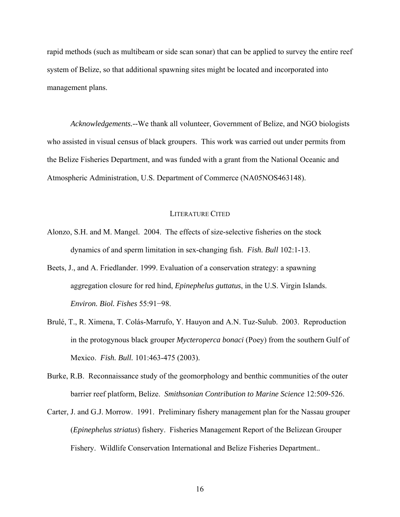rapid methods (such as multibeam or side scan sonar) that can be applied to survey the entire reef system of Belize, so that additional spawning sites might be located and incorporated into management plans.

*Acknowledgements.--*We thank all volunteer, Government of Belize, and NGO biologists who assisted in visual census of black groupers. This work was carried out under permits from the Belize Fisheries Department, and was funded with a grant from the National Oceanic and Atmospheric Administration, U.S. Department of Commerce (NA05NOS463148).

### LITERATURE CITED

- Alonzo, S.H. and M. Mangel. 2004. The effects of size-selective fisheries on the stock dynamics of and sperm limitation in sex-changing fish. *Fish. Bull* 102:1-13.
- Beets, J., and A. Friedlander. 1999. Evaluation of a conservation strategy: a spawning aggregation closure for red hind, *Epinephelus guttatus*, in the U.S. Virgin Islands. *Environ. Biol. Fishes* 55:91−98.
- Brulé, T., R. Ximena, T. Colás-Marrufo, Y. Hauyon and A.N. Tuz-Sulub. 2003. Reproduction in the protogynous black grouper *Mycteroperca bonaci* (Poey) from the southern Gulf of Mexico. *Fish. Bull.* 101:463-475 (2003).
- Burke, R.B. Reconnaissance study of the geomorphology and benthic communities of the outer barrier reef platform, Belize. *Smithsonian Contribution to Marine Science* 12:509-526.
- Carter, J. and G.J. Morrow. 1991. Preliminary fishery management plan for the Nassau grouper (*Epinephelus striatus*) fishery. Fisheries Management Report of the Belizean Grouper Fishery. Wildlife Conservation International and Belize Fisheries Department..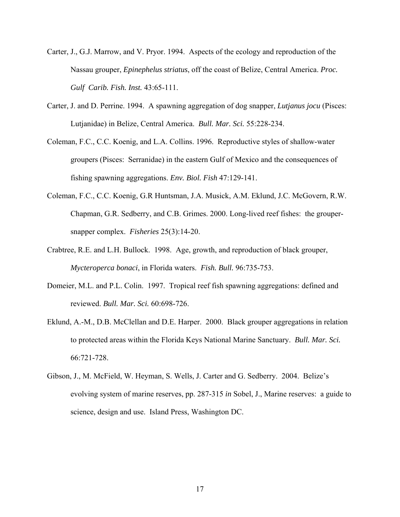- Carter, J., G.J. Marrow, and V. Pryor. 1994. Aspects of the ecology and reproduction of the Nassau grouper, *Epinephelus striatus*, off the coast of Belize, Central America. *Proc. Gulf Carib. Fish. Inst.* 43:65-111.
- Carter, J. and D. Perrine. 1994. A spawning aggregation of dog snapper, *Lutjanus jocu* (Pisces: Lutjanidae) in Belize, Central America. *Bull. Mar. Sci.* 55:228-234.
- Coleman, F.C., C.C. Koenig, and L.A. Collins. 1996. Reproductive styles of shallow-water groupers (Pisces: Serranidae) in the eastern Gulf of Mexico and the consequences of fishing spawning aggregations. *Env. Biol. Fish* 47:129-141.
- Coleman, F.C., C.C. Koenig, G.R Huntsman, J.A. Musick, A.M. Eklund, J.C. McGovern, R.W. Chapman, G.R. Sedberry, and C.B. Grimes. 2000. Long-lived reef fishes: the groupersnapper complex. *Fisheries* 25(3):14-20.
- Crabtree, R.E. and L.H. Bullock. 1998. Age, growth, and reproduction of black grouper, *Mycteroperca bonaci*, in Florida waters. *Fish. Bull.* 96:735-753.
- Domeier, M.L. and P.L. Colin. 1997. Tropical reef fish spawning aggregations: defined and reviewed. *Bull. Mar. Sci.* 60:698-726.
- Eklund, A.-M., D.B. McClellan and D.E. Harper. 2000. Black grouper aggregations in relation to protected areas within the Florida Keys National Marine Sanctuary. *Bull. Mar. Sci.*  66:721-728.
- Gibson, J., M. McField, W. Heyman, S. Wells, J. Carter and G. Sedberry. 2004. Belize's evolving system of marine reserves, pp. 287-315 *in* Sobel, J., Marine reserves: a guide to science, design and use. Island Press, Washington DC.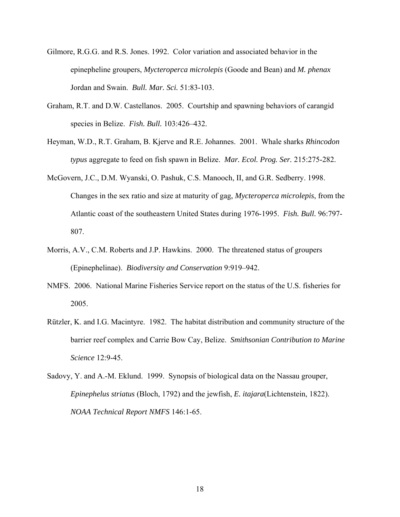- Gilmore, R.G.G. and R.S. Jones. 1992. Color variation and associated behavior in the epinepheline groupers, *Mycteroperca microlepis* (Goode and Bean) and *M. phenax* Jordan and Swain. *Bull. Mar. Sci.* 51:83-103.
- Graham, R.T. and D.W. Castellanos. 2005. Courtship and spawning behaviors of carangid species in Belize. *Fish. Bull.* 103:426–432.
- Heyman, W.D., R.T. Graham, B. Kjerve and R.E. Johannes. 2001. Whale sharks *Rhincodon typus* aggregate to feed on fish spawn in Belize. *Mar. Ecol. Prog. Ser.* 215:275-282.
- McGovern, J.C., D.M. Wyanski, O. Pashuk, C.S. Manooch, II, and G.R. Sedberry. 1998. Changes in the sex ratio and size at maturity of gag, *Mycteroperca microlepis*, from the Atlantic coast of the southeastern United States during 1976-1995. *Fish. Bull.* 96:797- 807.
- Morris, A.V., C.M. Roberts and J.P. Hawkins. 2000. The threatened status of groupers (Epinephelinae). *Biodiversity and Conservation* 9:919–942.
- NMFS. 2006. National Marine Fisheries Service report on the status of the U.S. fisheries for 2005.
- Rützler, K. and I.G. Macintyre. 1982. The habitat distribution and community structure of the barrier reef complex and Carrie Bow Cay, Belize. *Smithsonian Contribution to Marine Science* 12:9-45.
- Sadovy, Y. and A.-M. Eklund. 1999. Synopsis of biological data on the Nassau grouper, *Epinephelus striatus* (Bloch, 1792) and the jewfish, *E. itajara*(Lichtenstein, 1822). *NOAA Technical Report NMFS* 146:1-65.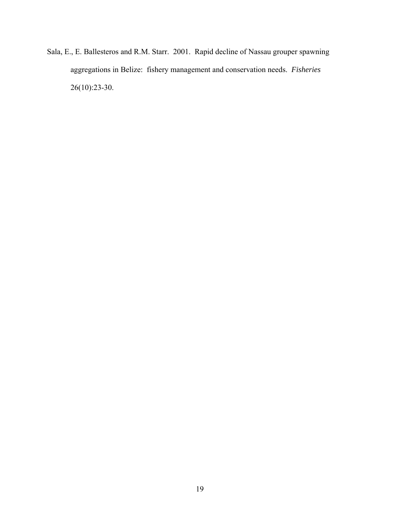Sala, E., E. Ballesteros and R.M. Starr. 2001. Rapid decline of Nassau grouper spawning aggregations in Belize: fishery management and conservation needs. *Fisheries*  26(10):23-30.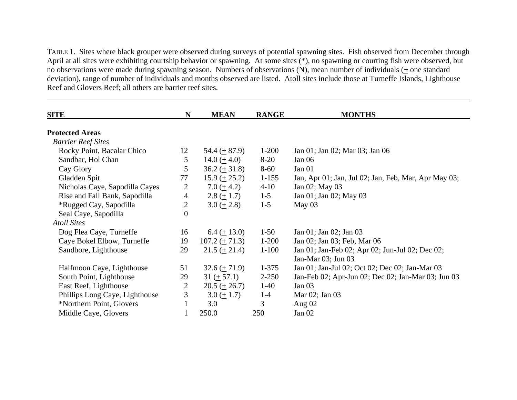TABLE 1. Sites where black grouper were observed during surveys of potential spawning sites. Fish observed from December through April at all sites were exhibiting courtship behavior or spawning. At some sites (\*), no spawning or courting fish were observed, but no observations were made during spawning season. Numbers of observations (N), mean number of individuals  $(+)$  one standard deviation), range of number of individuals and months observed are listed. Atoll sites include those at Turneffe Islands, Lighthouse Reef and Glovers Reef; all others are barrier reef sites.

| <b>SITE</b>                    | N                | <b>MEAN</b>                    | <b>RANGE</b> | <b>MONTHS</b>                                        |
|--------------------------------|------------------|--------------------------------|--------------|------------------------------------------------------|
|                                |                  |                                |              |                                                      |
| <b>Protected Areas</b>         |                  |                                |              |                                                      |
| <b>Barrier Reef Sites</b>      |                  |                                |              |                                                      |
| Rocky Point, Bacalar Chico     | 12               | $54.4 (+ 87.9)$                | $1-200$      | Jan 01; Jan 02; Mar 03; Jan 06                       |
| Sandbar, Hol Chan              | 5                | $14.0 (+ 4.0)$                 | $8 - 20$     | Jan 06                                               |
| Cay Glory                      | 5                | $36.2 \ (\pm 31.8)$            | $8 - 60$     | Jan 01                                               |
| Gladden Spit                   | 77               | $15.9 (+ 25.2)$                | $1 - 155$    | Jan, Apr 01; Jan, Jul 02; Jan, Feb, Mar, Apr May 03; |
| Nicholas Caye, Sapodilla Cayes | 2                | 7.0 $(± 4.2)$                  | $4 - 10$     | Jan 02; May 03                                       |
| Rise and Fall Bank, Sapodilla  | $\overline{4}$   | $2.8 (+ 1.7)$                  | $1 - 5$      | Jan 01; Jan 02; May 03                               |
| *Rugged Cay, Sapodilla         | $\overline{2}$   | $3.0 \ (\pm 2.8)$              | $1 - 5$      | May $03$                                             |
| Seal Caye, Sapodilla           | $\boldsymbol{0}$ |                                |              |                                                      |
| <b>Atoll Sites</b>             |                  |                                |              |                                                      |
| Dog Flea Caye, Turneffe        | 16               | $6.4 (+ 13.0)$                 | $1-50$       | Jan 01; Jan 02; Jan 03                               |
| Caye Bokel Elbow, Turneffe     | 19               | $107.2 (+ 71.3)$               | $1 - 200$    | Jan 02; Jan 03; Feb, Mar 06                          |
| Sandbore, Lighthouse           | 29               | $21.5 \ (\pm 21.4)$            | $1 - 100$    | Jan 01; Jan-Feb 02; Apr 02; Jun-Jul 02; Dec 02;      |
|                                |                  |                                |              | Jan-Mar 03; Jun 03                                   |
| Halfmoon Caye, Lighthouse      | 51               | $32.6 \left( \pm 71.9 \right)$ | $1 - 375$    | Jan 01; Jan-Jul 02; Oct 02; Dec 02; Jan-Mar 03       |
| South Point, Lighthouse        | 29               | $31 (+ 57.1)$                  | $2 - 250$    | Jan-Feb 02; Apr-Jun 02; Dec 02; Jan-Mar 03; Jun 03   |
| East Reef, Lighthouse          | 2                | $20.5 \ (\pm 26.7)$            | $1-40$       | Jan $03$                                             |
| Phillips Long Caye, Lighthouse | 3                | $3.0 (+ 1.7)$                  | $1 - 4$      | Mar 02; Jan 03                                       |
| *Northern Point, Glovers       | $\mathbf{1}$     | 3.0                            | 3            | Aug $02$                                             |
| Middle Caye, Glovers           |                  | 250.0                          | 250          | Jan $02$                                             |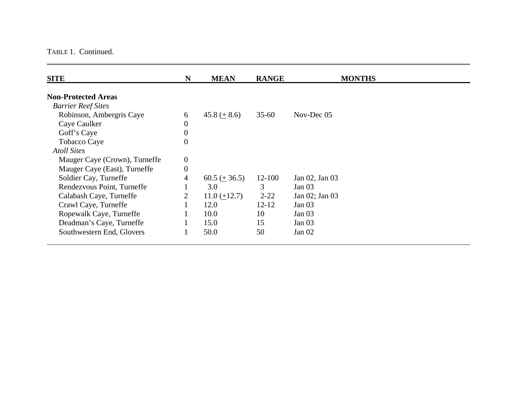#### TABLE 1. Continued.

| N                | <b>MEAN</b>     | <b>RANGE</b> | <b>MONTHS</b>     |
|------------------|-----------------|--------------|-------------------|
|                  |                 |              |                   |
|                  |                 |              |                   |
| 6                | $45.8 (+ 8.6)$  | $35 - 60$    | Nov-Dec 05        |
| $\boldsymbol{0}$ |                 |              |                   |
| $\boldsymbol{0}$ |                 |              |                   |
| $\boldsymbol{0}$ |                 |              |                   |
|                  |                 |              |                   |
| $\boldsymbol{0}$ |                 |              |                   |
| $\boldsymbol{0}$ |                 |              |                   |
| 4                | $60.5 (+ 36.5)$ | $12 - 100$   | Jan 02, Jan 03    |
|                  | 3.0             | 3            | Jan $03$          |
| 2                | $11.0 (+12.7)$  | $2 - 22$     | Jan 02; Jan 03    |
|                  | 12.0            | $12 - 12$    | Jan <sub>03</sub> |
|                  | 10.0            | 10           | Jan $03$          |
|                  | 15.0            | 15           | Jan <sub>03</sub> |
|                  | 50.0            | 50           | Jan $02$          |
|                  |                 |              |                   |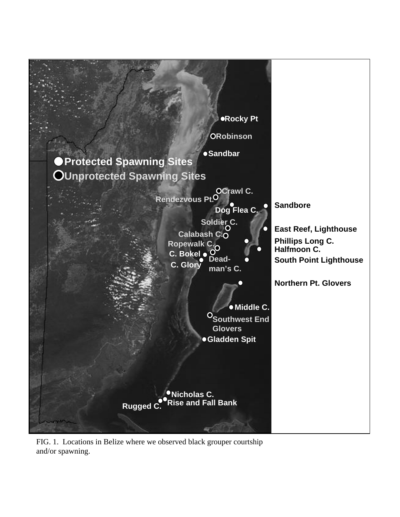

FIG. 1. Locations in Belize where we observed black grouper courtship and/or spawning.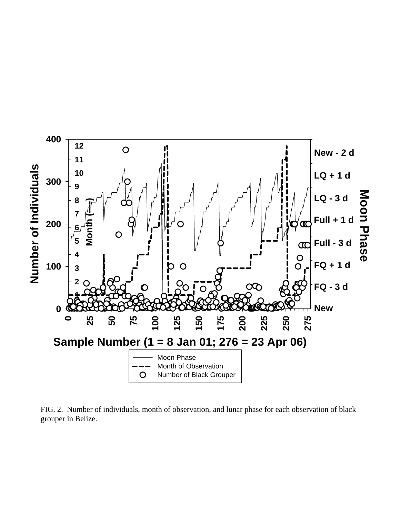

FIG. 2. Number of individuals, month of observation, and lunar phase for each observation of black grouper in Belize.